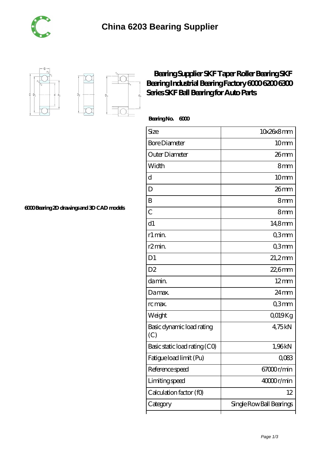





## **[Bearing Supplier SKF Taper Roller Bearing SKF](https://m.tuto-webmaster.com/6200-bearing/593995.html)** Bearing Industrial Bearing Factory 6000 6300 6300 **[Series SKF Ball Bearing for Auto Parts](https://m.tuto-webmaster.com/6200-bearing/593995.html)**

 **Bearing No. 6000**

| Size                             | 10x26x8mm                                      |
|----------------------------------|------------------------------------------------|
| <b>Bore Diameter</b>             | 10 <sub>mm</sub>                               |
| Outer Diameter                   | 26mm                                           |
| Width                            | 8mm                                            |
| d                                | 10mm                                           |
| D                                | 26mm                                           |
| B                                | 8mm                                            |
| $\overline{C}$                   | 8 <sub>mm</sub>                                |
| d1                               | $148$ mm                                       |
| r1 min.                          | Q3mm                                           |
| r <sub>2</sub> min.              | Q3mm                                           |
| D <sub>1</sub>                   | $21,2$ mm                                      |
| D <sub>2</sub>                   | $226$ mm                                       |
| da min.                          | $12 \text{mm}$                                 |
| Damax.                           | 24mm                                           |
| rc max.                          | Q3mm                                           |
| Weight                           | QO19Kg                                         |
| Basic dynamic load rating<br>(C) | 4,75kN                                         |
| Basic static load rating (CO)    | 1,96kN                                         |
| Fatigue load limit (Pu)          | $Q$ <sup><math>O</math></sup> $R$ <sup>3</sup> |
| Reference speed                  | 67000r/min                                     |
| Limiting speed                   | 40000r/min                                     |
| Calculation factor (f0)          | 12                                             |
| Category                         | Single Row Ball Bearings                       |

**[6000 Bearing 2D drawings and 3D CAD models](https://m.tuto-webmaster.com/pic-593995.html)**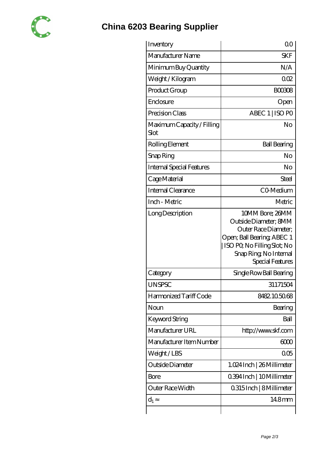

## **[China 6203 Bearing Supplier](https://m.tuto-webmaster.com)**

| Inventory                          | 00                                                                                                                                                                          |
|------------------------------------|-----------------------------------------------------------------------------------------------------------------------------------------------------------------------------|
| Manufacturer Name                  | <b>SKF</b>                                                                                                                                                                  |
| Minimum Buy Quantity               | N/A                                                                                                                                                                         |
| Weight / Kilogram                  | 002                                                                                                                                                                         |
| Product Group                      | <b>BOO308</b>                                                                                                                                                               |
| Enclosure                          | Open                                                                                                                                                                        |
| Precision Class                    | ABEC 1   ISO PO                                                                                                                                                             |
| Maximum Capacity / Filling<br>Slot | No                                                                                                                                                                          |
| Rolling Element                    | <b>Ball Bearing</b>                                                                                                                                                         |
| Snap Ring                          | No                                                                                                                                                                          |
| Internal Special Features          | No                                                                                                                                                                          |
| Cage Material                      | Steel                                                                                                                                                                       |
| <b>Internal Clearance</b>          | CO-Medium                                                                                                                                                                   |
| Inch - Metric                      | Metric                                                                                                                                                                      |
| Long Description                   | 10MM Bore; 26MM<br>Outside Diameter; 8MM<br>Outer Race Diameter;<br>Open; Ball Bearing; ABEC 1<br>ISO PO, No Filling Slot; No<br>Snap Ring, No Internal<br>Special Features |
| Category                           | Single Row Ball Bearing                                                                                                                                                     |
| <b>UNSPSC</b>                      | 31171504                                                                                                                                                                    |
| Harmonized Tariff Code             | 8482105068                                                                                                                                                                  |
| Noun                               | Bearing                                                                                                                                                                     |
| Keyword String                     | Ball                                                                                                                                                                        |
| Manufacturer URL                   | http://www.skf.com                                                                                                                                                          |
| Manufacturer Item Number           | 6000                                                                                                                                                                        |
| Weight / LBS                       | 005                                                                                                                                                                         |
| Outside Diameter                   | 1.024 Inch   26 Millimeter                                                                                                                                                  |
| Bore                               | 0.394 Inch   10 Millimeter                                                                                                                                                  |
| Outer Race Width                   | 0.315 Inch   8 Millimeter                                                                                                                                                   |
| $d_1$                              | 14.8mm                                                                                                                                                                      |
|                                    |                                                                                                                                                                             |